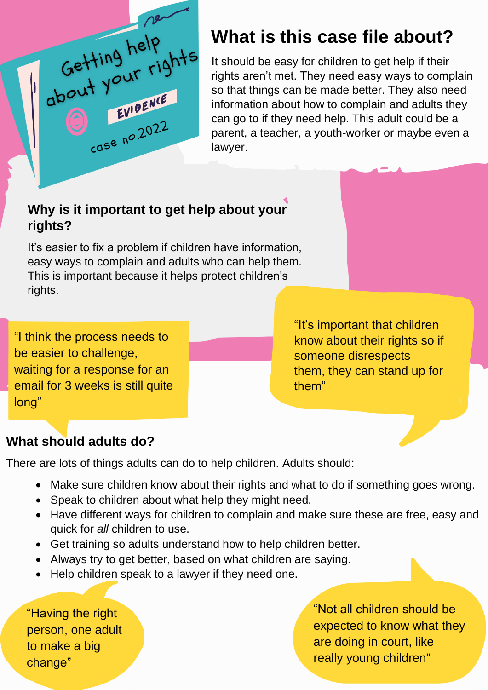Getting help<br>about your rights EVIDENCE  $rac{ew}{100}$ 

 $\vert$ 

## **What is this case file about?**

It should be easy for children to get help if their rights aren't met. They need easy ways to complain so that things can be made better. They also need information about how to complain and adults they can go to if they need help. This adult could be a parent, a teacher, a youth-worker or maybe even a lawyer.

#### **Why is it important to get help about your rights?**

It's easier to fix a problem if children have information, easy ways to complain and adults who can help them. This is important because it helps protect children's rights.

"I think the process needs to be easier to challenge, waiting for a response for an email for 3 weeks is still quite long"

"It's important that children know about their rights so if someone disrespects them, they can stand up for them"

#### **What should adults do?**

There are lots of things adults can do to help children. Adults should:

- Make sure children know about their rights and what to do if something goes wrong.
- Speak to children about what help they might need.
- Have different ways for children to complain and make sure these are free, easy and quick for *all* children to use.
- Get training so adults understand how to help children better.
- Always try to get better, based on what children are saying.
- Help children speak to a lawyer if they need one.

"Having the right person, one adult to make a big change"

"Not all children should be expected to know what they are doing in court, like really young children"